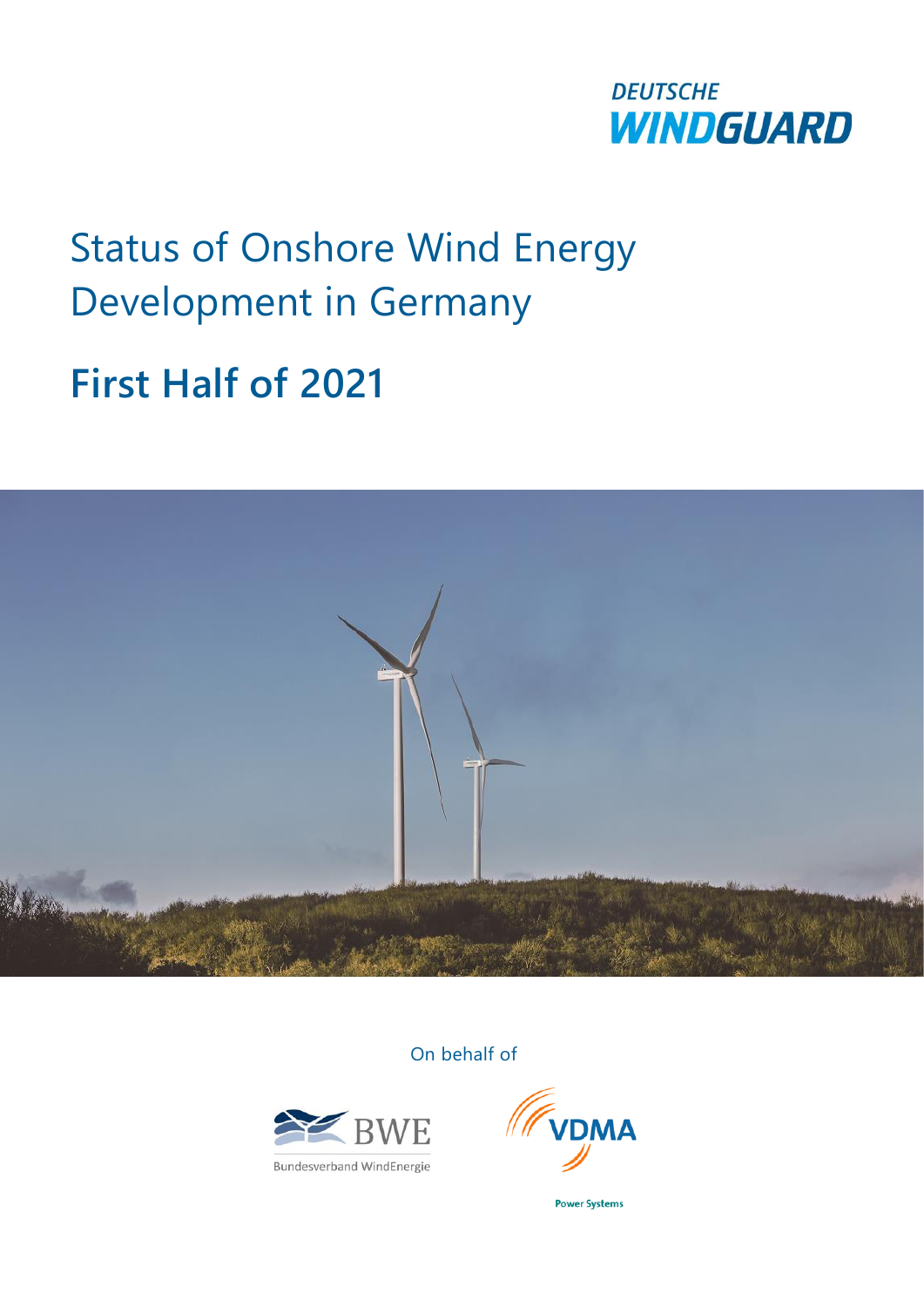

# Status of Onshore Wind Energy Development in Germany

**First Half of 2021**



On behalf of



**Bundesverband WindEnergie** 



**Power Systems**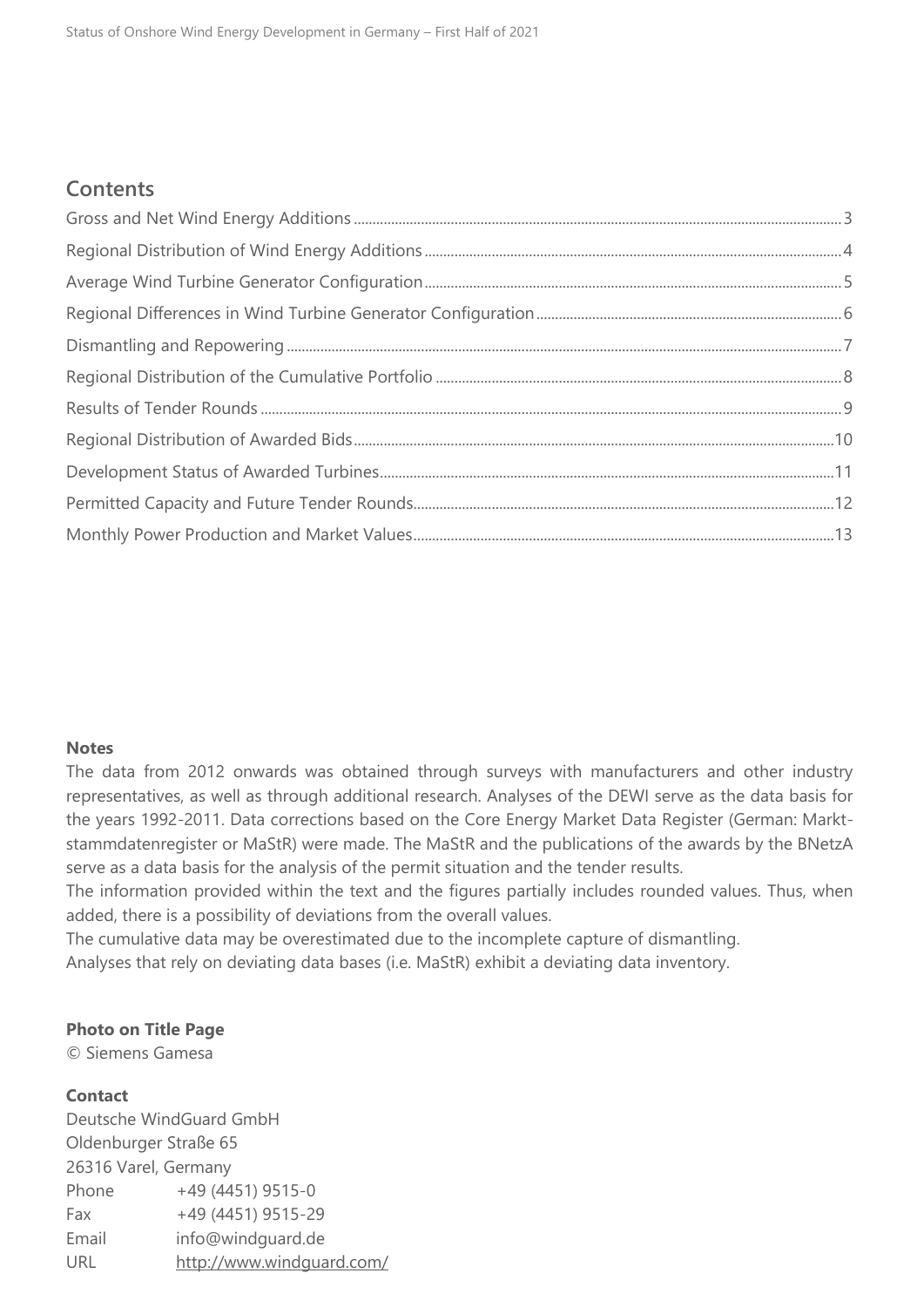## **Contents**

## **Notes**

The data from 2012 onwards was obtained through surveys with manufacturers and other industry representatives, as well as through additional research. Analyses of the DEWI serve as the data basis for the years 1992-2011. Data corrections based on the Core Energy Market Data Register (German: Marktstammdatenregister or MaStR) were made. The MaStR and the publications of the awards by the BNetzA serve as a data basis for the analysis of the permit situation and the tender results.

The information provided within the text and the figures partially includes rounded values. Thus, when added, there is a possibility of deviations from the overall values.

The cumulative data may be overestimated due to the incomplete capture of dismantling. Analyses that rely on deviating data bases (i.e. MaStR) exhibit a deviating data inventory.

## **Photo on Title Page**

© Siemens Gamesa

## **Contact**

Deutsche WindGuard GmbH Oldenburger Straße 65 26316 Varel, Germany Phone  $+49 (4451) 9515-0$ Fax +49 (4451) 9515-29 Email info@windquard.de URL <http://www.windguard.com/>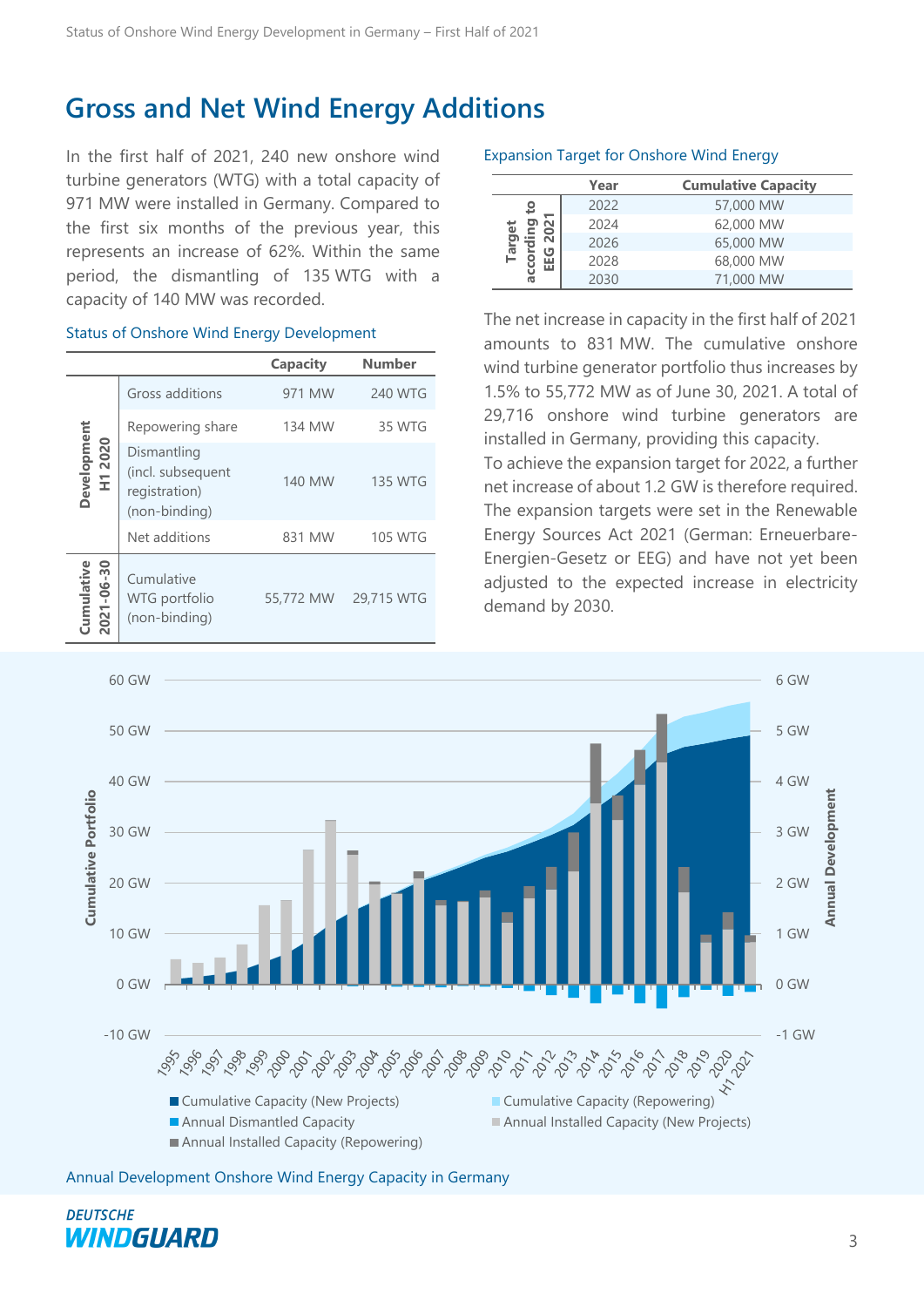## <span id="page-2-0"></span>**Gross and Net Wind Energy Additions**

In the first half of 2021, 240 new onshore wind turbine generators (WTG) with a total capacity of 971 MW were installed in Germany. Compared to the first six months of the previous year, this represents an increase of 62%. Within the same period, the dismantling of 135 WTG with a capacity of 140 MW was recorded.

#### Status of Onshore Wind Energy Development

|                          |                                                                    | Capacity  | <b>Number</b>  |
|--------------------------|--------------------------------------------------------------------|-----------|----------------|
|                          | Gross additions                                                    | 971 MW    | 240 WTG        |
|                          | Repowering share                                                   | 134 MW    | 35 WTG         |
| Development<br>H1 2020   | Dismantling<br>(incl. subsequent<br>registration)<br>(non-binding) | 140 MW    | <b>135 WTG</b> |
|                          | Net additions                                                      | 831 MW    | 105 WTG        |
| 2021-06-30<br>Cumulative | Cumulative<br>WTG portfolio<br>(non-binding)                       | 55,772 MW | 29,715 WTG     |

#### Expansion Target for Onshore Wind Energy

|                                       | Year | <b>Cumulative Capacity</b> |
|---------------------------------------|------|----------------------------|
| 요<br>٥<br>N<br>ār<br>ט<br>ũ<br>ш<br>൹ | 2022 | 57,000 MW                  |
|                                       | 2024 | 62,000 MW                  |
|                                       | 2026 | 65,000 MW                  |
|                                       | 2028 | 68,000 MW                  |
|                                       | 2030 | 71,000 MW                  |

The net increase in capacity in the first half of 2021 amounts to 831 MW. The cumulative onshore wind turbine generator portfolio thus increases by 1.5% to 55,772 MW as of June 30, 2021. A total of 29,716 onshore wind turbine generators are installed in Germany, providing this capacity. To achieve the expansion target for 2022, a further net increase of about 1.2 GW is therefore required. The expansion targets were set in the Renewable Energy Sources Act 2021 (German: Erneuerbare-

Energien-Gesetz or EEG) and have not yet been adjusted to the expected increase in electricity demand by 2030.



Annual Development Onshore Wind Energy Capacity in Germany

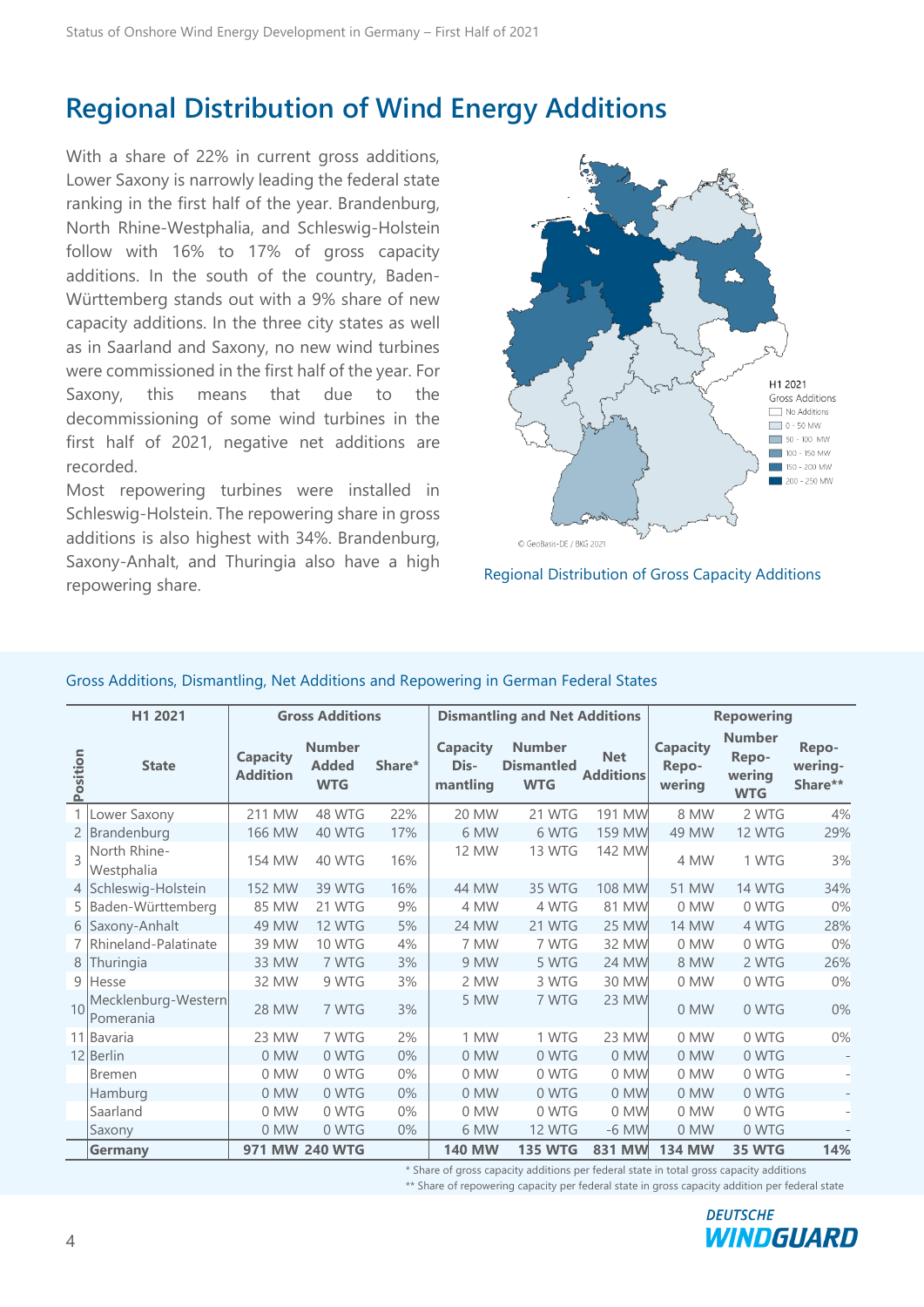## <span id="page-3-0"></span>**Regional Distribution of Wind Energy Additions**

With a share of 22% in current gross additions, Lower Saxony is narrowly leading the federal state ranking in the first half of the year. Brandenburg, North Rhine-Westphalia, and Schleswig-Holstein follow with 16% to 17% of gross capacity additions. In the south of the country, Baden-Württemberg stands out with a 9% share of new capacity additions. In the three city states as well as in Saarland and Saxony, no new wind turbines were commissioned in the first half of the year. For Saxony, this means that due to the decommissioning of some wind turbines in the first half of 2021, negative net additions are recorded.

Most repowering turbines were installed in Schleswig-Holstein. The repowering share in gross additions is also highest with 34%. Brandenburg, Saxony-Anhalt, and Thuringia also have a high repowering share. The manners and the calmen of Gross Capacity Additions repowering share.





|          | H1 2021                          |                                    | <b>Gross Additions</b>                      |        |                                     | <b>Dismantling and Net Additions</b>             |                                |                                    | <b>Repowering</b>                              |                             |
|----------|----------------------------------|------------------------------------|---------------------------------------------|--------|-------------------------------------|--------------------------------------------------|--------------------------------|------------------------------------|------------------------------------------------|-----------------------------|
| Position | <b>State</b>                     | <b>Capacity</b><br><b>Addition</b> | <b>Number</b><br><b>Added</b><br><b>WTG</b> | Share* | <b>Capacity</b><br>Dis-<br>mantling | <b>Number</b><br><b>Dismantled</b><br><b>WTG</b> | <b>Net</b><br><b>Additions</b> | <b>Capacity</b><br>Repo-<br>wering | <b>Number</b><br>Repo-<br>werina<br><b>WTG</b> | Repo-<br>wering-<br>Share** |
|          | Lower Saxony                     | 211 MW                             | 48 WTG                                      | 22%    | 20 MW                               | 21 WTG                                           | 191 MW                         | 8 MW                               | 2 WTG                                          | 4%                          |
|          | 2 Brandenburg                    | <b>166 MW</b>                      | 40 WTG                                      | 17%    | 6 MW                                | 6 WTG                                            | 159 MW                         | 49 MW                              | <b>12 WTG</b>                                  | 29%                         |
| 3        | North Rhine-<br>Westphalia       | 154 MW                             | 40 WTG                                      | 16%    | <b>12 MW</b>                        | 13 WTG                                           | 142 MW                         | 4 MW                               | 1 WTG                                          | 3%                          |
|          | 4 Schleswig-Holstein             | 152 MW                             | 39 WTG                                      | 16%    | 44 MW                               | 35 WTG                                           | 108 MW                         | 51 MW                              | <b>14 WTG</b>                                  | 34%                         |
|          | 5 Baden-Württemberg              | 85 MW                              | 21 WTG                                      | 9%     | 4 MW                                | 4 WTG                                            | 81 MW                          | 0 MW                               | 0 WTG                                          | $0\%$                       |
| 6 I      | Saxony-Anhalt                    | 49 MW                              | <b>12 WTG</b>                               | 5%     | 24 MW                               | 21 WTG                                           | <b>25 MW</b>                   | <b>14 MW</b>                       | 4 WTG                                          | 28%                         |
|          | 7 Rhineland-Palatinate           | 39 MW                              | 10 WTG                                      | 4%     | 7 MW                                | 7 WTG                                            | 32 MW                          | 0 MW                               | 0 WTG                                          | $0\%$                       |
| 8        | Thuringia                        | 33 MW                              | 7 WTG                                       | 3%     | 9 MW                                | 5 WTG                                            | <b>24 MW</b>                   | 8 MW                               | 2 WTG                                          | 26%                         |
|          | 9 Hesse                          | 32 MW                              | 9 WTG                                       | 3%     | 2 MW                                | 3 WTG                                            | 30 MW                          | 0 MW                               | 0 WTG                                          | 0%                          |
| 10       | Mecklenburg-Western<br>Pomerania | 28 MW                              | 7 WTG                                       | 3%     | 5 MW                                | 7 WTG                                            | 23 MW                          | 0 MW                               | 0 WTG                                          | 0%                          |
|          | 11 Bavaria                       | 23 MW                              | 7 WTG                                       | 2%     | 1 MW                                | 1 WTG                                            | 23 MW                          | 0 MW                               | 0 WTG                                          | $0\%$                       |
|          | 12 Berlin                        | 0 MW                               | 0 WTG                                       | $0\%$  | 0 MW                                | 0 WTG                                            | 0 MW                           | 0 MW                               | 0 WTG                                          |                             |
|          | <b>Bremen</b>                    | 0 MW                               | 0 WTG                                       | $0\%$  | 0 MW                                | 0 WTG                                            | 0 MW                           | 0 MW                               | 0 WTG                                          | ÷.                          |
|          | Hamburg                          | 0 MW                               | 0 WTG                                       | $0\%$  | 0 MW                                | 0 WTG                                            | 0 MW                           | 0 MW                               | 0 WTG                                          |                             |
|          | Saarland                         | $0$ MW                             | 0 WTG                                       | $0\%$  | 0 MW                                | 0 WTG                                            | 0 MW                           | $0$ MW                             | 0 WTG                                          | ÷.                          |
|          | Saxony                           | 0 MW                               | 0 WTG                                       | $0\%$  | 6 MW                                | <b>12 WTG</b>                                    | $-6$ MW                        | 0 MW                               | 0 WTG                                          |                             |
|          | Germany                          |                                    | 971 MW 240 WTG                              |        | <b>140 MW</b>                       | <b>135 WTG</b>                                   | 831 MW                         | <b>134 MW</b>                      | 35 WTG                                         | 14%                         |

## Gross Additions, Dismantling, Net Additions and Repowering in German Federal States

\* Share of gross capacity additions per federal state in total gross capacity additions \*\* Share of repowering capacity per federal state in gross capacity addition per federal state

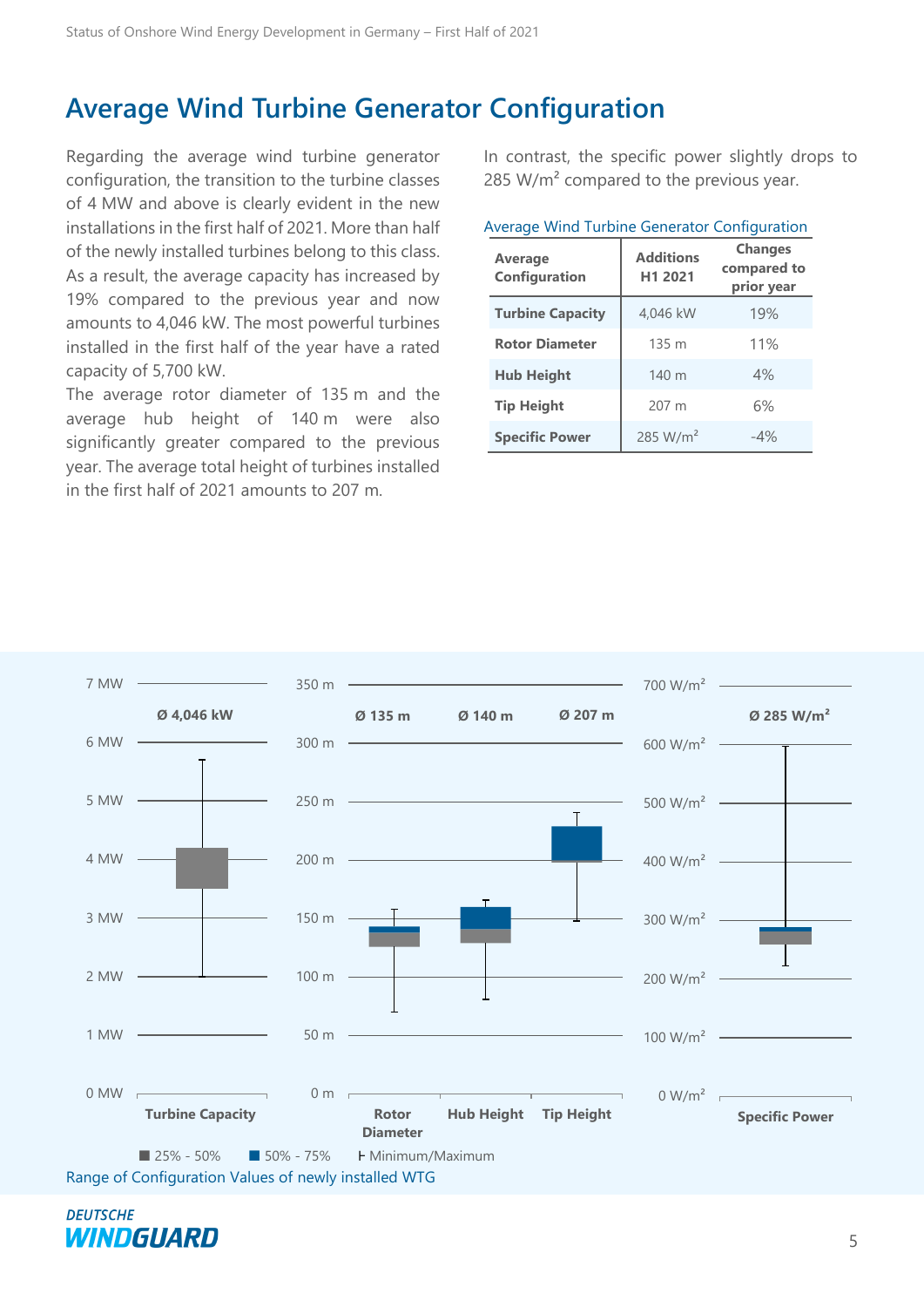## <span id="page-4-0"></span>**Average Wind Turbine Generator Configuration**

Regarding the average wind turbine generator configuration, the transition to the turbine classes of 4 MW and above is clearly evident in the new installations in the first half of 2021. More than half of the newly installed turbines belong to this class. As a result, the average capacity has increased by 19% compared to the previous year and now amounts to 4,046 kW. The most powerful turbines installed in the first half of the year have a rated capacity of 5,700 kW.

The average rotor diameter of 135 m and the average hub height of 140 m were also significantly greater compared to the previous year. The average total height of turbines installed in the first half of 2021 amounts to 207 m.

In contrast, the specific power slightly drops to 285 W/m² compared to the previous year.

| <b>Average</b><br>Configuration | <b>Additions</b><br>H1 2021 | <b>Changes</b><br>compared to<br>prior year |  |
|---------------------------------|-----------------------------|---------------------------------------------|--|
| <b>Turbine Capacity</b>         | 4,046 kW                    | 19%                                         |  |
| <b>Rotor Diameter</b>           | 135 m                       | 11%                                         |  |
| <b>Hub Height</b>               | 140 m                       | 4%                                          |  |
| <b>Tip Height</b>               | 207 m                       | 6%                                          |  |
| <b>Specific Power</b>           | 285 W/m <sup>2</sup>        | $-4%$                                       |  |



**DEUTSCHE** WINDGUARD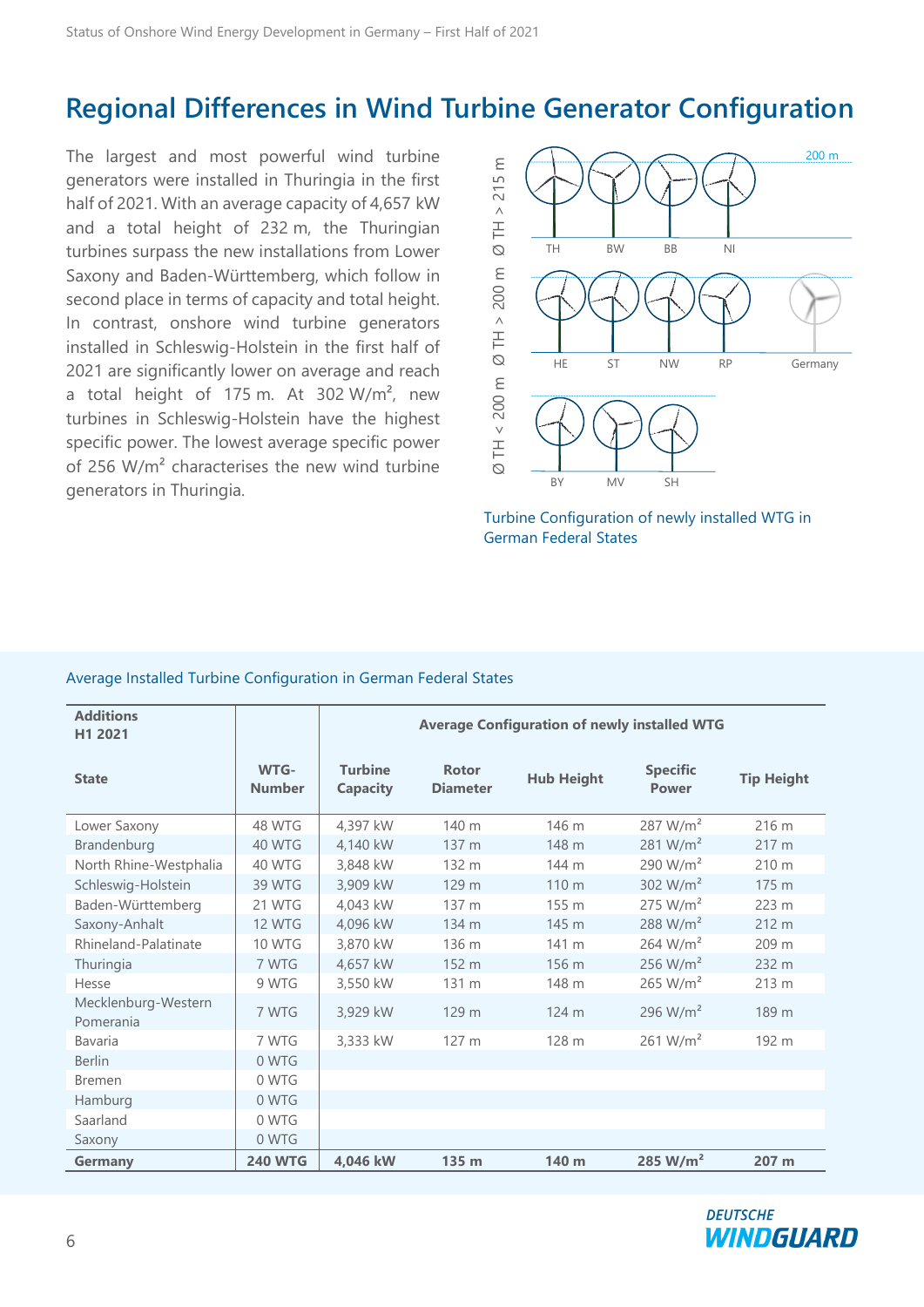## <span id="page-5-0"></span>**Regional Differences in Wind Turbine Generator Configuration**

The largest and most powerful wind turbine generators were installed in Thuringia in the first half of 2021. With an average capacity of 4,657 kW and a total height of 232 m, the Thuringian turbines surpass the new installations from Lower Saxony and Baden-Württemberg, which follow in second place in terms of capacity and total height. In contrast, onshore wind turbine generators installed in Schleswig-Holstein in the first half of 2021 are significantly lower on average and reach a total height of 175 m. At 302  $W/m^2$ , new turbines in Schleswig-Holstein have the highest specific power. The lowest average specific power of 256 W/m² characterises the new wind turbine generators in Thuringia.

![](_page_5_Figure_3.jpeg)

Turbine Configuration of newly installed WTG in German Federal States

#### Average Installed Turbine Configuration in German Federal States

| <b>Additions</b><br>H1 2021      |                       | <b>Average Configuration of newly installed WTG</b> |                                 |                   |                                 |                   |
|----------------------------------|-----------------------|-----------------------------------------------------|---------------------------------|-------------------|---------------------------------|-------------------|
| <b>State</b>                     | WTG-<br><b>Number</b> | <b>Turbine</b><br><b>Capacity</b>                   | <b>Rotor</b><br><b>Diameter</b> | <b>Hub Height</b> | <b>Specific</b><br><b>Power</b> | <b>Tip Height</b> |
| Lower Saxony                     | 48 WTG                | 4,397 kW                                            | 140 m                           | 146 m             | 287 W/m <sup>2</sup>            | 216 m             |
| Brandenburg                      | 40 WTG                | 4,140 kW                                            | 137 m                           | 148 m             | 281 W/m <sup>2</sup>            | 217 m             |
| North Rhine-Westphalia           | 40 WTG                | 3,848 kW                                            | 132 m                           | 144 m             | 290 $W/m^2$                     | 210 m             |
| Schleswig-Holstein               | 39 WTG                | 3,909 kW                                            | 129 m                           | 110 m             | 302 $W/m^2$                     | 175 m             |
| Baden-Württemberg                | 21 WTG                | 4,043 kW                                            | 137 m                           | 155 m             | 275 W/m <sup>2</sup>            | 223 m             |
| Saxony-Anhalt                    | <b>12 WTG</b>         | 4,096 kW                                            | 134 m                           | 145 m             | 288 W/m <sup>2</sup>            | 212 m             |
| Rhineland-Palatinate             | <b>10 WTG</b>         | 3,870 kW                                            | 136 m                           | 141 m             | 264 W/m <sup>2</sup>            | 209 m             |
| Thuringia                        | 7 WTG                 | 4,657 kW                                            | 152 m                           | 156 m             | 256 $W/m2$                      | 232 m             |
| Hesse                            | 9 WTG                 | 3,550 kW                                            | 131 m                           | 148 m             | 265 W/m <sup>2</sup>            | 213 m             |
| Mecklenburg-Western<br>Pomerania | 7 WTG                 | 3,929 kW                                            | 129 m                           | 124 m             | 296 W/m <sup>2</sup>            | 189 m             |
| Bavaria                          | 7 WTG                 | 3,333 kW                                            | 127 m                           | 128 m             | 261 $W/m2$                      | 192 m             |
| <b>Berlin</b>                    | 0 WTG                 |                                                     |                                 |                   |                                 |                   |
| <b>Bremen</b>                    | 0 WTG                 |                                                     |                                 |                   |                                 |                   |
| Hamburg                          | 0 WTG                 |                                                     |                                 |                   |                                 |                   |
| Saarland                         | 0 WTG                 |                                                     |                                 |                   |                                 |                   |
| Saxony                           | 0 WTG                 |                                                     |                                 |                   |                                 |                   |
| <b>Germany</b>                   | <b>240 WTG</b>        | 4,046 kW                                            | 135 m                           | 140 m             | 285 W/m <sup>2</sup>            | 207 m             |

![](_page_5_Picture_7.jpeg)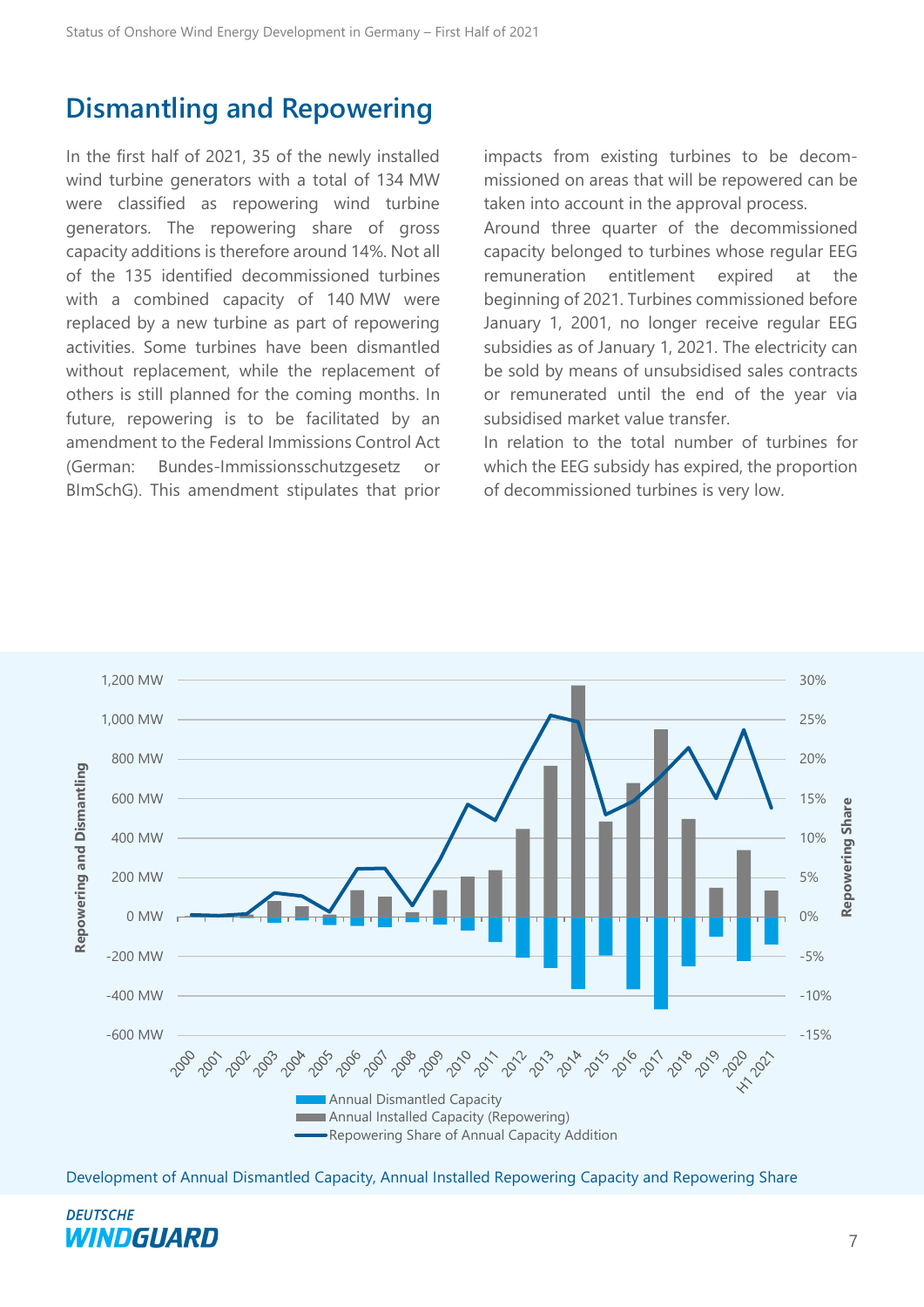## <span id="page-6-0"></span>**Dismantling and Repowering**

In the first half of 2021, 35 of the newly installed wind turbine generators with a total of 134 MW were classified as repowering wind turbine generators. The repowering share of gross capacity additions is therefore around 14%. Not all of the 135 identified decommissioned turbines with a combined capacity of 140 MW were replaced by a new turbine as part of repowering activities. Some turbines have been dismantled without replacement, while the replacement of others is still planned for the coming months. In future, repowering is to be facilitated by an amendment to the Federal Immissions Control Act (German: Bundes-Immissionsschutzgesetz or BImSchG). This amendment stipulates that prior impacts from existing turbines to be decommissioned on areas that will be repowered can be taken into account in the approval process.

Around three quarter of the decommissioned capacity belonged to turbines whose regular EEG remuneration entitlement expired at the beginning of 2021. Turbines commissioned before January 1, 2001, no longer receive regular EEG subsidies as of January 1, 2021. The electricity can be sold by means of unsubsidised sales contracts or remunerated until the end of the year via subsidised market value transfer.

In relation to the total number of turbines for which the EEG subsidy has expired, the proportion of decommissioned turbines is very low.

![](_page_6_Figure_6.jpeg)

Development of Annual Dismantled Capacity, Annual Installed Repowering Capacity and Repowering Share

![](_page_6_Picture_8.jpeg)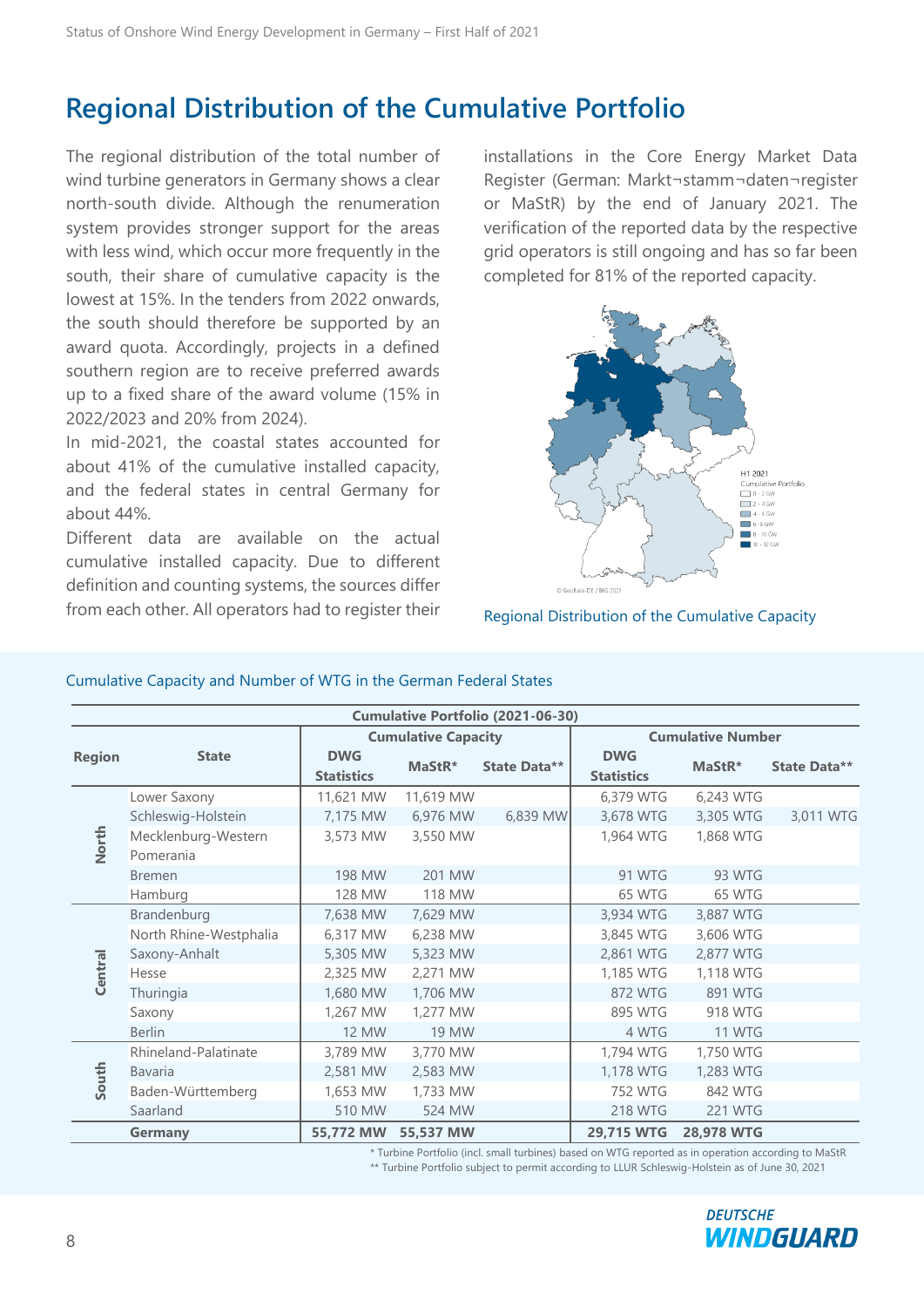## <span id="page-7-0"></span>**Regional Distribution of the Cumulative Portfolio**

The regional distribution of the total number of wind turbine generators in Germany shows a clear north-south divide. Although the renumeration system provides stronger support for the areas with less wind, which occur more frequently in the south, their share of cumulative capacity is the lowest at 15%. In the tenders from 2022 onwards, the south should therefore be supported by an award quota. Accordingly, projects in a defined southern region are to receive preferred awards up to a fixed share of the award volume (15% in 2022/2023 and 20% from 2024).

In mid-2021, the coastal states accounted for about 41% of the cumulative installed capacity, and the federal states in central Germany for about 44%.

Different data are available on the actual cumulative installed capacity. Due to different definition and counting systems, the sources differ from each other. All operators had to register their installations in the Core Energy Market Data Register (German: Markt¬stamm¬daten¬register or MaStR) by the end of January 2021. The verification of the reported data by the respective grid operators is still ongoing and has so far been completed for 81% of the reported capacity.

![](_page_7_Figure_6.jpeg)

Regional Distribution of the Cumulative Capacity

| <b>Cumulative Portfolio (2021-06-30)</b> |                        |                                 |              |              |                                 |                          |              |  |
|------------------------------------------|------------------------|---------------------------------|--------------|--------------|---------------------------------|--------------------------|--------------|--|
| <b>Cumulative Capacity</b>               |                        |                                 |              |              |                                 | <b>Cumulative Number</b> |              |  |
| <b>Region</b>                            | <b>State</b>           | <b>DWG</b><br><b>Statistics</b> | MaStR*       | State Data** | <b>DWG</b><br><b>Statistics</b> | MaStR*                   | State Data** |  |
|                                          | Lower Saxony           | 11,621 MW                       | 11,619 MW    |              | 6,379 WTG                       | 6,243 WTG                |              |  |
|                                          | Schleswig-Holstein     | 7,175 MW                        | 6,976 MW     | 6,839 MW     | 3,678 WTG                       | 3,305 WTG                | 3,011 WTG    |  |
| North                                    | Mecklenburg-Western    | 3,573 MW                        | 3,550 MW     |              | 1,964 WTG                       | 1,868 WTG                |              |  |
|                                          | Pomerania              |                                 |              |              |                                 |                          |              |  |
|                                          | <b>Bremen</b>          | 198 MW                          | 201 MW       |              | 91 WTG                          | 93 WTG                   |              |  |
|                                          | Hamburg                | 128 MW                          | 118 MW       |              | 65 WTG                          | 65 WTG                   |              |  |
|                                          | Brandenburg            | 7,638 MW                        | 7,629 MW     |              | 3,934 WTG                       | 3,887 WTG                |              |  |
|                                          | North Rhine-Westphalia | 6,317 MW                        | 6,238 MW     |              | 3,845 WTG                       | 3,606 WTG                |              |  |
| Central                                  | Saxony-Anhalt          | 5,305 MW                        | 5,323 MW     |              | 2,861 WTG                       | 2,877 WTG                |              |  |
|                                          | Hesse                  | 2,325 MW                        | 2,271 MW     |              | 1,185 WTG                       | 1,118 WTG                |              |  |
|                                          | Thuringia              | 1,680 MW                        | 1,706 MW     |              | 872 WTG                         | 891 WTG                  |              |  |
|                                          | Saxony                 | 1,267 MW                        | 1,277 MW     |              | 895 WTG                         | 918 WTG                  |              |  |
|                                          | <b>Berlin</b>          | 12 MW                           | <b>19 MW</b> |              | 4 WTG                           | 11 WTG                   |              |  |
|                                          | Rhineland-Palatinate   | 3,789 MW                        | 3,770 MW     |              | 1,794 WTG                       | 1,750 WTG                |              |  |
| South                                    | Bavaria                | 2,581 MW                        | 2,583 MW     |              | 1,178 WTG                       | 1,283 WTG                |              |  |
|                                          | Baden-Württemberg      | 1,653 MW                        | 1,733 MW     |              | <b>752 WTG</b>                  | 842 WTG                  |              |  |
|                                          | Saarland               | 510 MW                          | 524 MW       |              | <b>218 WTG</b>                  | <b>221 WTG</b>           |              |  |
|                                          | <b>Germany</b>         | 55,772 MW                       | 55,537 MW    |              | 29,715 WTG                      | 28,978 WTG               |              |  |

\* Turbine Portfolio (incl. small turbines) based on WTG reported as in operation according to MaStR

\*\* Turbine Portfolio subject to permit according to LLUR Schleswig-Holstein as of June 30, 2021

![](_page_7_Picture_12.jpeg)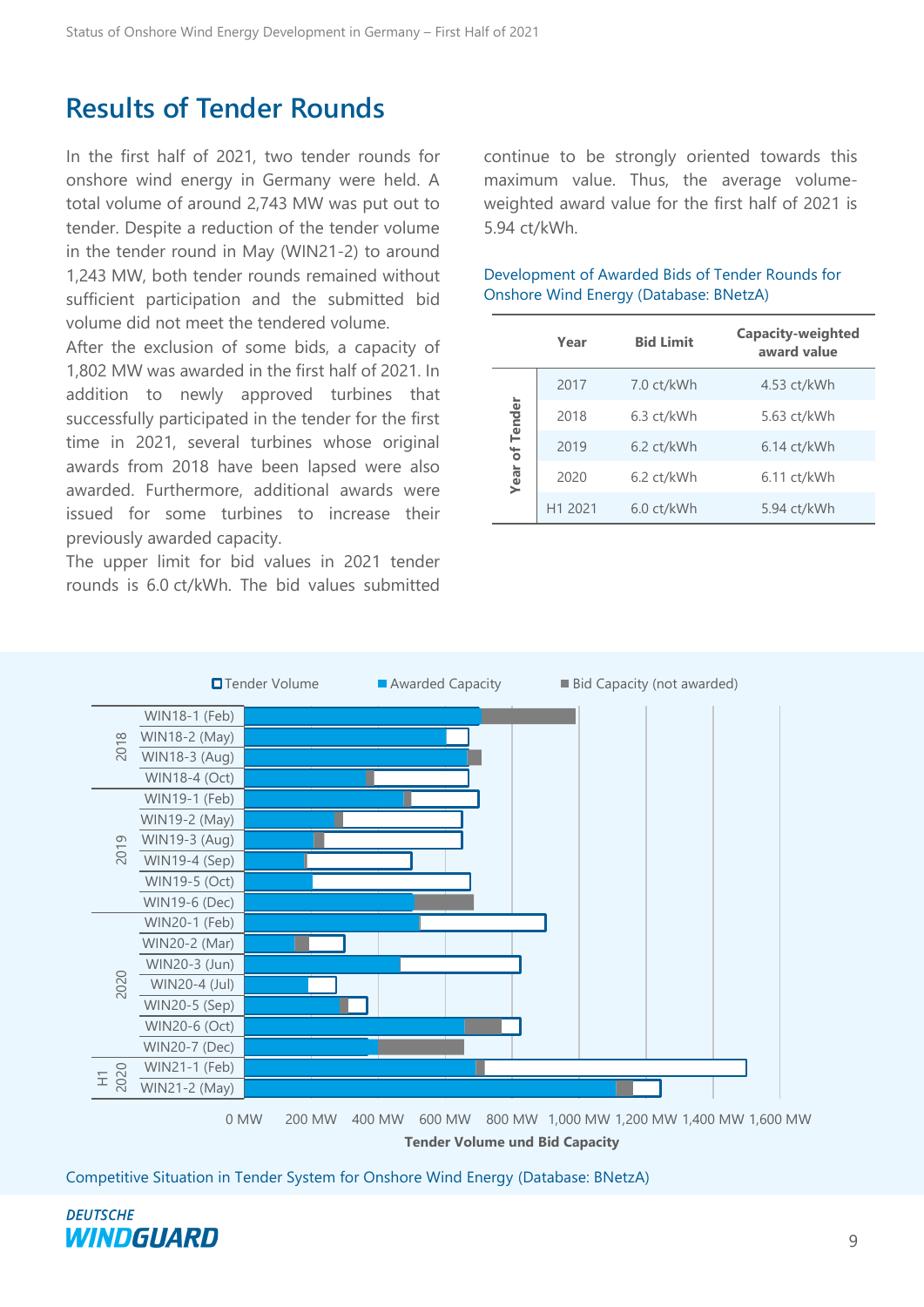## <span id="page-8-0"></span>**Results of Tender Rounds**

In the first half of 2021, two tender rounds for onshore wind energy in Germany were held. A total volume of around 2,743 MW was put out to tender. Despite a reduction of the tender volume in the tender round in May (WIN21-2) to around 1,243 MW, both tender rounds remained without sufficient participation and the submitted bid volume did not meet the tendered volume.

After the exclusion of some bids, a capacity of 1,802 MW was awarded in the first half of 2021. In addition to newly approved turbines that successfully participated in the tender for the first time in 2021, several turbines whose original awards from 2018 have been lapsed were also awarded. Furthermore, additional awards were issued for some turbines to increase their previously awarded capacity.

The upper limit for bid values in 2021 tender rounds is 6.0 ct/kWh. The bid values submitted continue to be strongly oriented towards this maximum value. Thus, the average volumeweighted award value for the first half of 2021 is 5.94 ct/kWh.

|                | Year    | <b>Bid Limit</b>     | Capacity-weighted<br>award value |
|----------------|---------|----------------------|----------------------------------|
|                | 2017    | 7.0 ct/kWh           | 4.53 ct/kWh                      |
| Year of Tender | 2018    | 6.3 ct/kWh           | 5.63 ct/kWh                      |
|                | 2019    | $6.2 \text{ ct/kWh}$ | $6.14$ ct/kWh                    |
|                | 2020    | 6.2 ct/kWh           | $6.11$ ct/kWh                    |
|                | H1 2021 | 6.0 ct/kWh           | 5.94 ct/kWh                      |

#### Development of Awarded Bids of Tender Rounds for Onshore Wind Energy (Database: BNetzA)

![](_page_8_Figure_8.jpeg)

**Tender Volume und Bid Capacity**

Competitive Situation in Tender System for Onshore Wind Energy (Database: BNetzA)

![](_page_8_Picture_11.jpeg)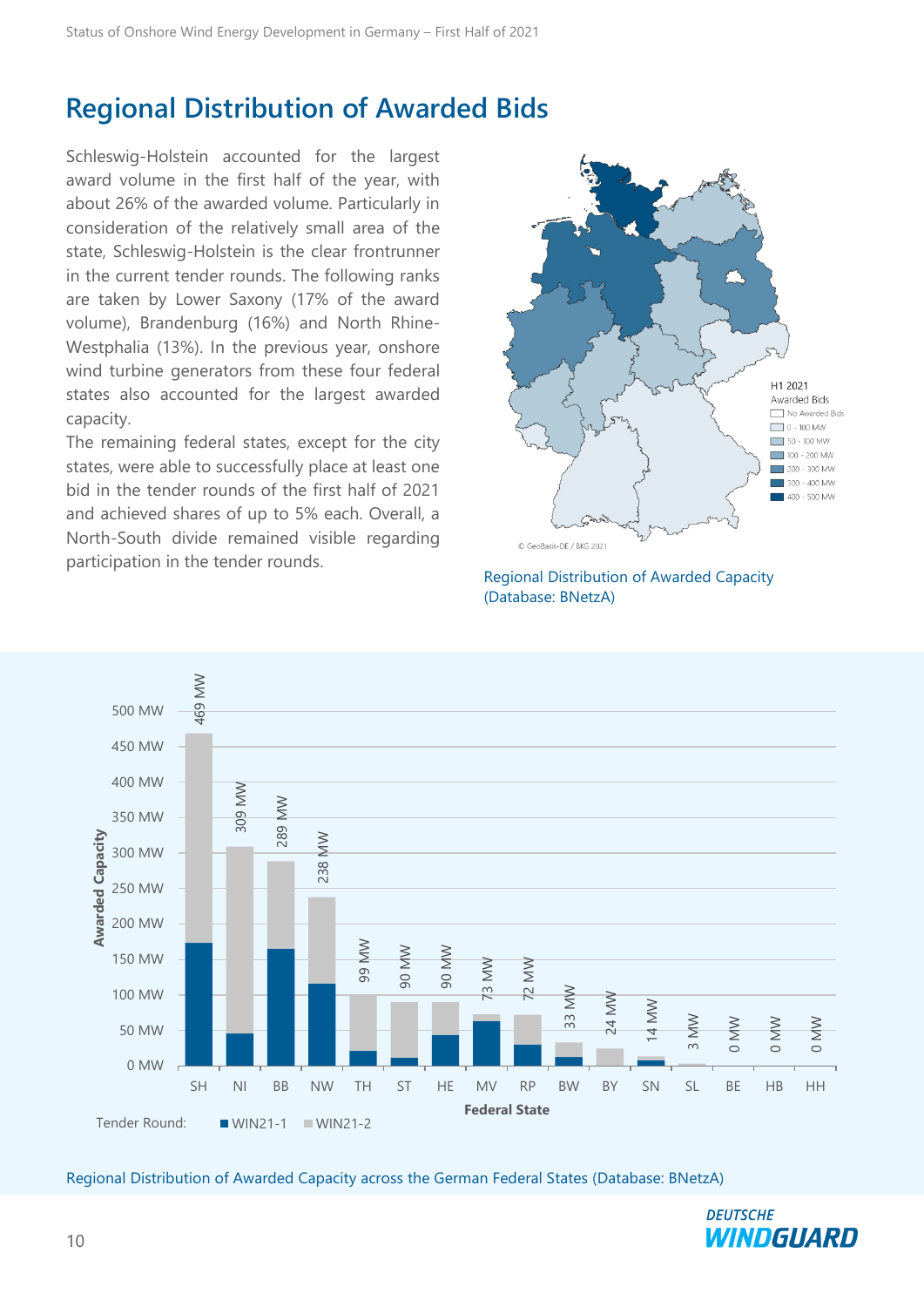## <span id="page-9-0"></span>**Regional Distribution of Awarded Bids**

Schleswig-Holstein accounted for the largest award volume in the first half of the year, with about 26% of the awarded volume. Particularly in consideration of the relatively small area of the state, Schleswig-Holstein is the clear frontrunner in the current tender rounds. The following ranks are taken by Lower Saxony (17% of the award volume), Brandenburg (16%) and North Rhine-Westphalia (13%). In the previous year, onshore wind turbine generators from these four federal states also accounted for the largest awarded capacity.

The remaining federal states, except for the city states, were able to successfully place at least one bid in the tender rounds of the first half of 2021 and achieved shares of up to 5% each. Overall, a North-South divide remained visible regarding participation in the tender rounds.

![](_page_9_Figure_4.jpeg)

![](_page_9_Figure_5.jpeg)

![](_page_9_Figure_6.jpeg)

![](_page_9_Picture_8.jpeg)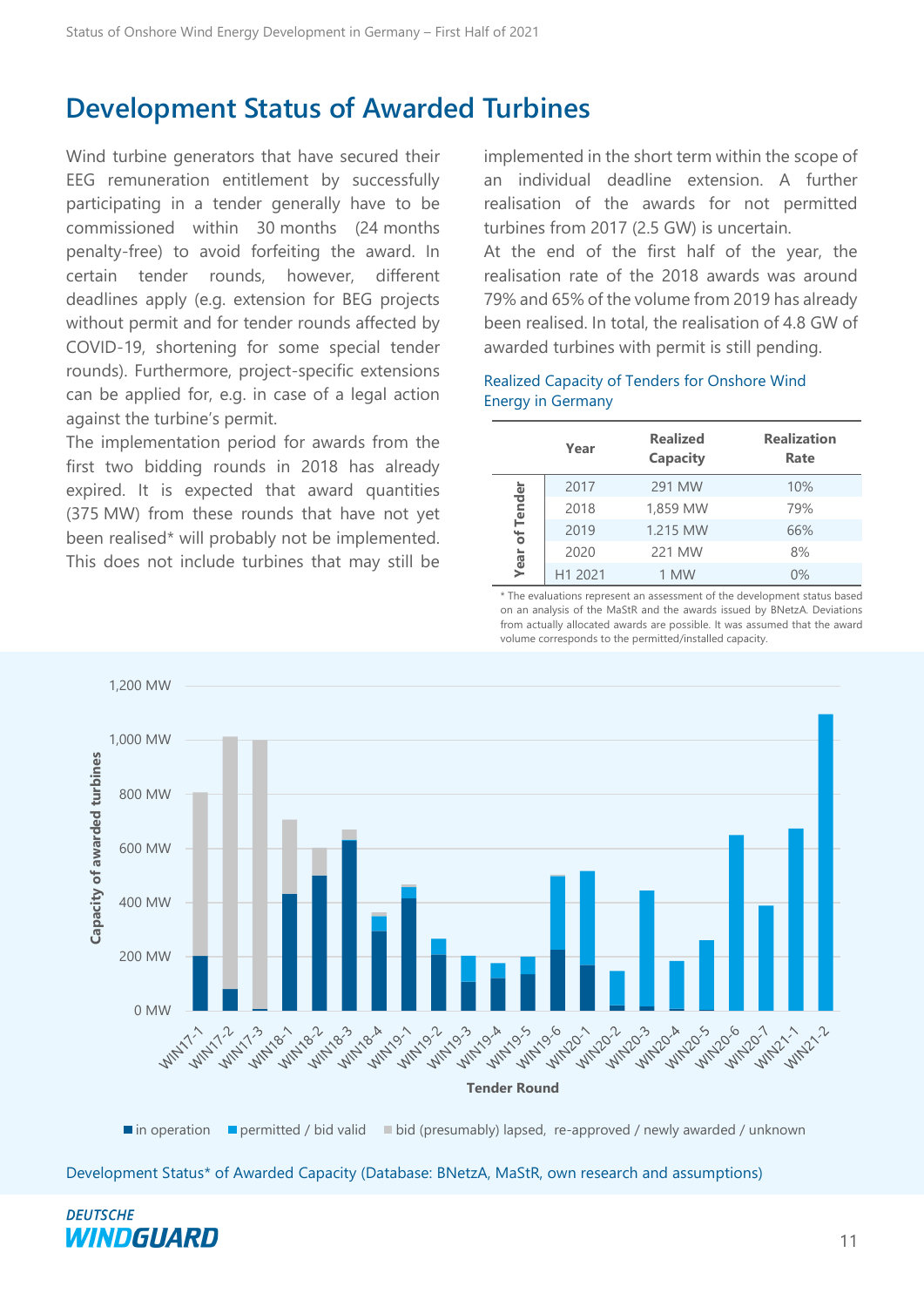## <span id="page-10-0"></span>**Development Status of Awarded Turbines**

Wind turbine generators that have secured their EEG remuneration entitlement by successfully participating in a tender generally have to be commissioned within 30 months (24 months penalty-free) to avoid forfeiting the award. In certain tender rounds, however, different deadlines apply (e.g. extension for BEG projects without permit and for tender rounds affected by COVID-19, shortening for some special tender rounds). Furthermore, project-specific extensions can be applied for, e.g. in case of a legal action against the turbine's permit.

The implementation period for awards from the first two bidding rounds in 2018 has already expired. It is expected that award quantities (375 MW) from these rounds that have not yet been realised\* will probably not be implemented. This does not include turbines that may still be

implemented in the short term within the scope of an individual deadline extension. A further realisation of the awards for not permitted turbines from 2017 (2.5 GW) is uncertain.

At the end of the first half of the year, the realisation rate of the 2018 awards was around 79% and 65% of the volume from 2019 has already been realised. In total, the realisation of 4.8 GW of awarded turbines with permit is still pending.

#### Realized Capacity of Tenders for Onshore Wind Energy in Germany

|                | Year    | <b>Realized</b><br>Capacity | <b>Realization</b><br>Rate |
|----------------|---------|-----------------------------|----------------------------|
|                | 2017    | 291 MW                      | 10%                        |
|                | 2018    | 1,859 MW                    | 79%                        |
| Year of Tender | 2019    | 1.215 MW                    | 66%                        |
|                | 2020    | 221 MW                      | 8%                         |
|                | H1 2021 | 1 MW                        | $0\%$                      |

\* The evaluations represent an assessment of the development status based on an analysis of the MaStR and the awards issued by BNetzA. Deviations from actually allocated awards are possible. It was assumed that the award volume corresponds to the permitted/installed capacity.

![](_page_10_Figure_9.jpeg)

 $\blacksquare$  in operation  $\blacksquare$  permitted / bid valid  $\blacksquare$  bid (presumably) lapsed, re-approved / newly awarded / unknown

Development Status\* of Awarded Capacity (Database: BNetzA, MaStR, own research and assumptions)

![](_page_10_Picture_12.jpeg)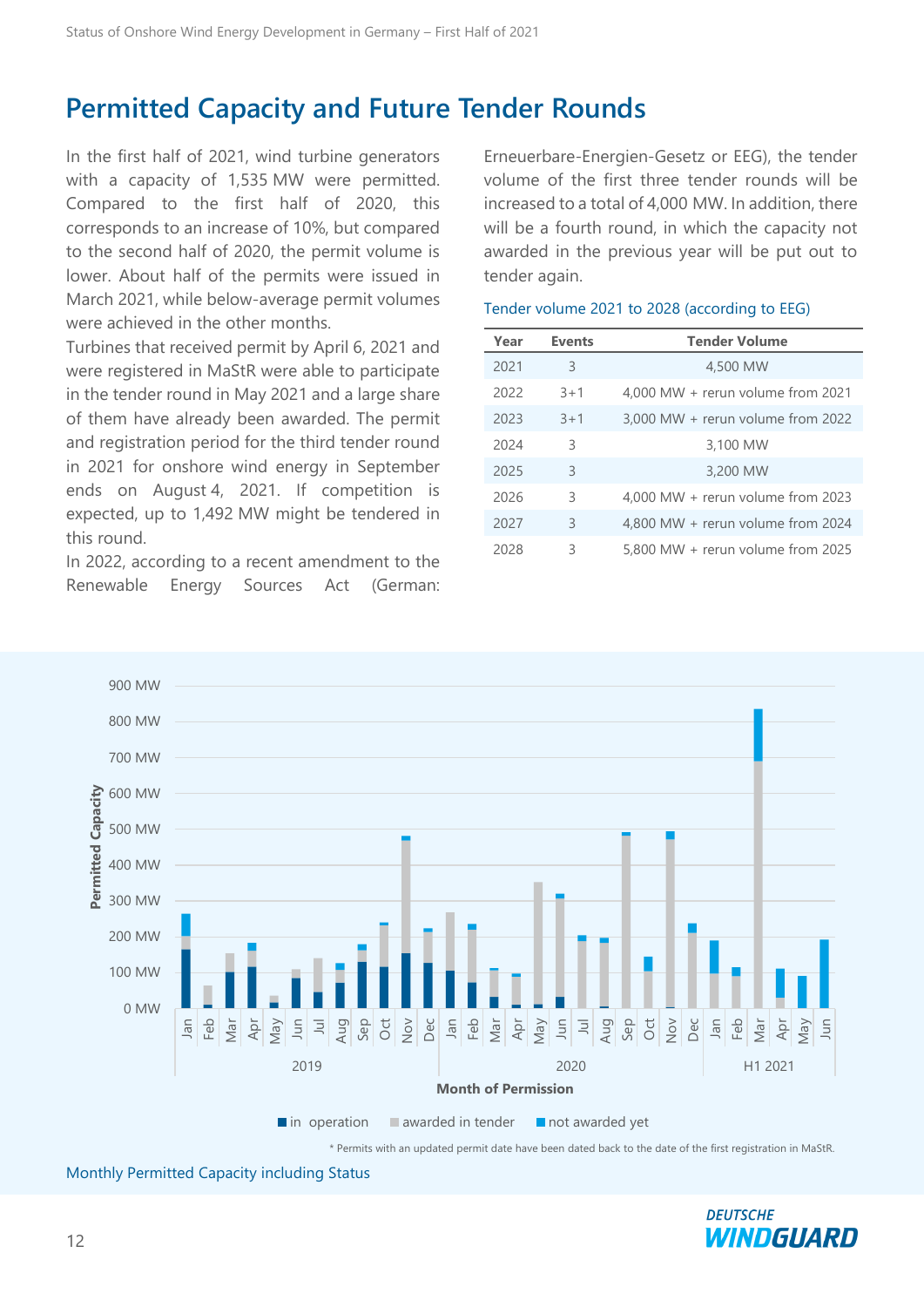## <span id="page-11-0"></span>**Permitted Capacity and Future Tender Rounds**

In the first half of 2021, wind turbine generators with a capacity of 1,535 MW were permitted. Compared to the first half of 2020, this corresponds to an increase of 10%, but compared to the second half of 2020, the permit volume is lower. About half of the permits were issued in March 2021, while below-average permit volumes were achieved in the other months.

Turbines that received permit by April 6, 2021 and were registered in MaStR were able to participate in the tender round in May 2021 and a large share of them have already been awarded. The permit and registration period for the third tender round in 2021 for onshore wind energy in September ends on August 4, 2021. If competition is expected, up to 1,492 MW might be tendered in this round.

In 2022, according to a recent amendment to the Renewable Energy Sources Act (German: Erneuerbare-Energien-Gesetz or EEG), the tender volume of the first three tender rounds will be increased to a total of 4,000 MW. In addition, there will be a fourth round, in which the capacity not awarded in the previous year will be put out to tender again.

| Year | <b>Events</b> | <b>Tender Volume</b>              |
|------|---------------|-----------------------------------|
| 2021 | 3             | 4,500 MW                          |
| 2022 | $3 + 1$       | 4,000 MW + rerun volume from 2021 |
| 2023 | $3 + 1$       | 3,000 MW + rerun volume from 2022 |
| 2024 | 3             | 3,100 MW                          |
| 2025 | 3             | 3,200 MW                          |
| 2026 | 3             | 4,000 MW + rerun volume from 2023 |
| 2027 | 3             | 4,800 MW + rerun volume from 2024 |
| 2028 | 3             | 5,800 MW + rerun volume from 2025 |

#### Tender volume 2021 to 2028 (according to EEG)

![](_page_11_Figure_8.jpeg)

Monthly Permitted Capacity including Status

![](_page_11_Picture_10.jpeg)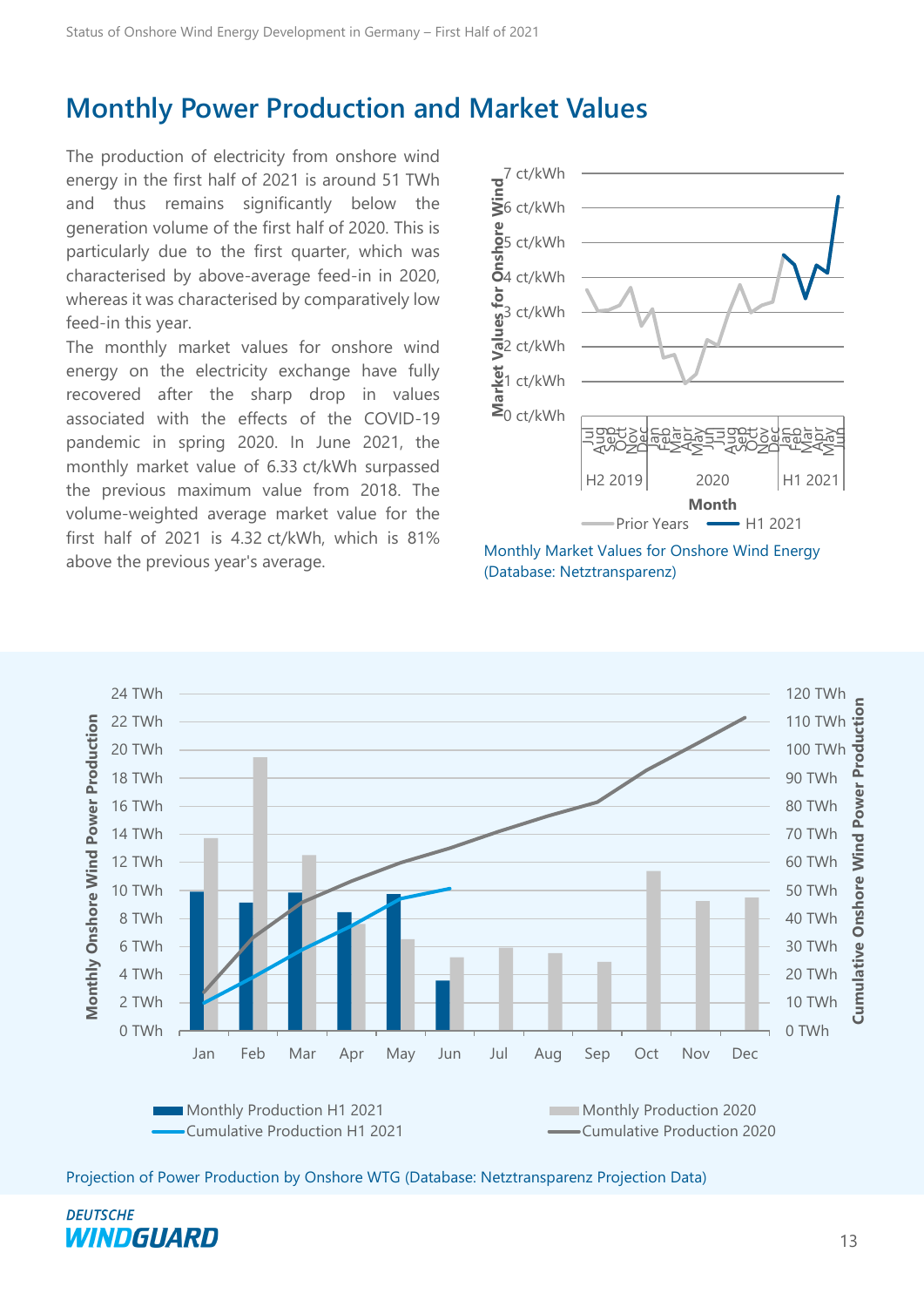## <span id="page-12-0"></span>**Monthly Power Production and Market Values**

The production of electricity from onshore wind energy in the first half of 2021 is around 51 TWh and thus remains significantly below the generation volume of the first half of 2020. This is particularly due to the first quarter, which was characterised by above-average feed-in in 2020, whereas it was characterised by comparatively low feed-in this year.

The monthly market values for onshore wind energy on the electricity exchange have fully recovered after the sharp drop in values associated with the effects of the COVID-19 pandemic in spring 2020. In June 2021, the monthly market value of 6.33 ct/kWh surpassed the previous maximum value from 2018. The volume-weighted average market value for the first half of 2021 is 4.32 ct/kWh, which is 81% above the previous year's average.<br>
Monthly Market Values for Onshore Wind Energy<br>
(Database Mattersoneses)

![](_page_12_Figure_4.jpeg)

(Database: Netztransparenz)

![](_page_12_Figure_6.jpeg)

Projection of Power Production by Onshore WTG (Database: Netztransparenz Projection Data)

![](_page_12_Picture_8.jpeg)